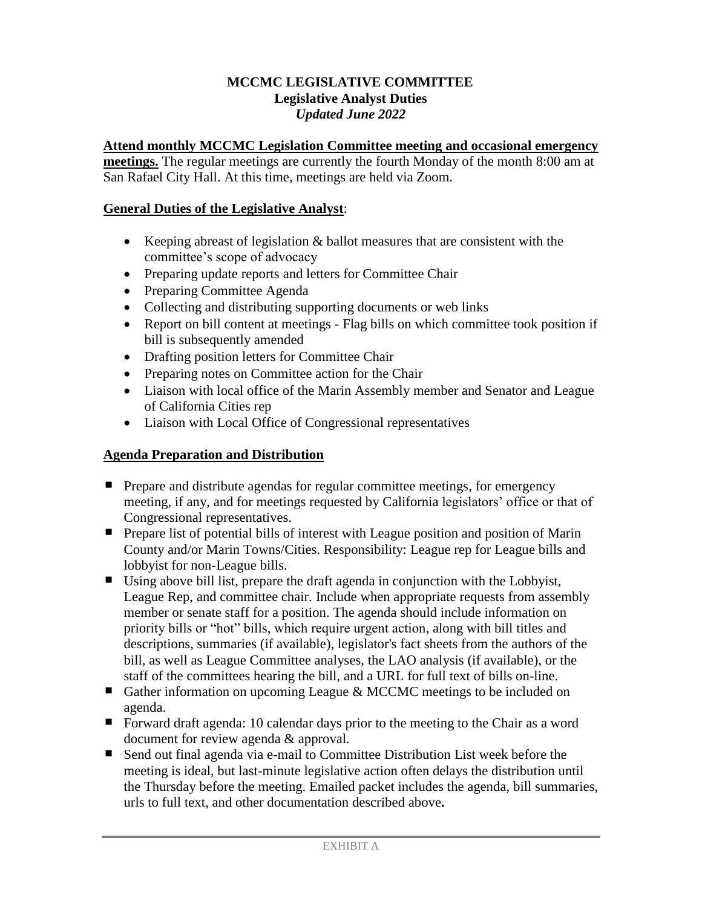### **MCCMC LEGISLATIVE COMMITTEE Legislative Analyst Duties** *Updated June 2022*

### **Attend monthly MCCMC Legislation Committee meeting and occasional emergency**

**meetings.** The regular meetings are currently the fourth Monday of the month 8:00 am at San Rafael City Hall. At this time, meetings are held via Zoom.

### **General Duties of the Legislative Analyst**:

- Exercise Keeping abreast of legislation  $\&$  ballot measures that are consistent with the committee's scope of advocacy
- Preparing update reports and letters for Committee Chair
- Preparing Committee Agenda
- Collecting and distributing supporting documents or web links
- Report on bill content at meetings Flag bills on which committee took position if bill is subsequently amended
- Drafting position letters for Committee Chair
- Preparing notes on Committee action for the Chair
- Liaison with local office of the Marin Assembly member and Senator and League of California Cities rep
- Liaison with Local Office of Congressional representatives

## **Agenda Preparation and Distribution**

- **Perepare and distribute agendas for regular committee meetings, for emergency** meeting, if any, and for meetings requested by California legislators' office or that of Congressional representatives.
- **Prepare list of potential bills of interest with League position and position of Marin** County and/or Marin Towns/Cities. Responsibility: League rep for League bills and lobbyist for non-League bills.
- Using above bill list, prepare the draft agenda in conjunction with the Lobbyist, League Rep, and committee chair. Include when appropriate requests from assembly member or senate staff for a position. The agenda should include information on priority bills or "hot" bills, which require urgent action, along with bill titles and descriptions, summaries (if available), legislator's fact sheets from the authors of the bill, as well as League Committee analyses, the LAO analysis (if available), or the staff of the committees hearing the bill, and a URL for full text of bills on-line.
- Gather information on upcoming League  $&$  MCCMC meetings to be included on agenda.
- Forward draft agenda: 10 calendar days prior to the meeting to the Chair as a word document for review agenda & approval.
- Send out final agenda via e-mail to Committee Distribution List week before the meeting is ideal, but last-minute legislative action often delays the distribution until the Thursday before the meeting. Emailed packet includes the agenda, bill summaries, urls to full text, and other documentation described above**.**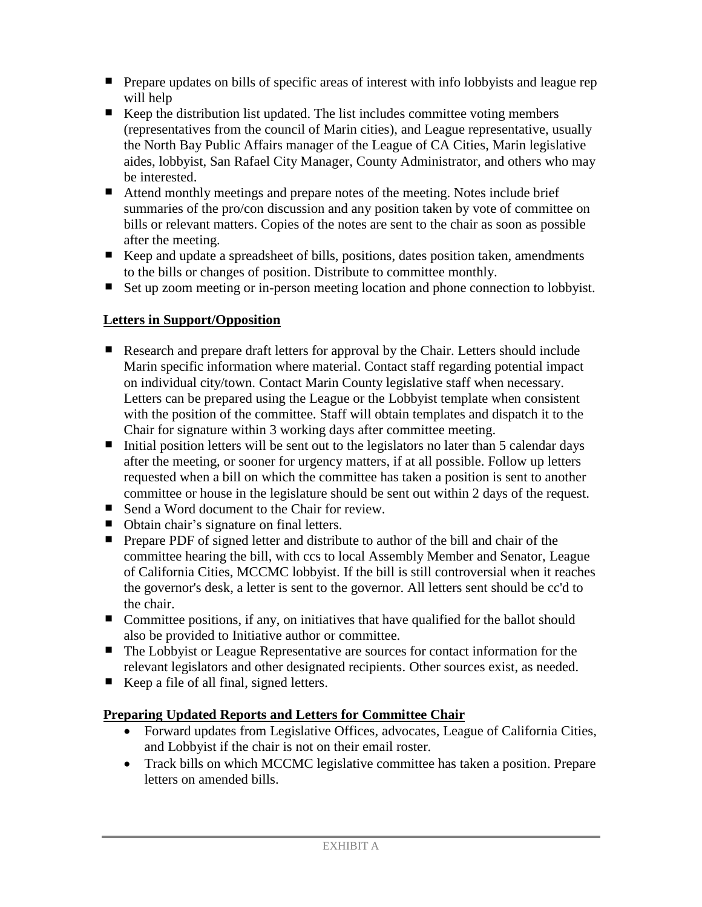- **Prepare updates on bills of specific areas of interest with info lobbyists and league rep** will help
- Keep the distribution list updated. The list includes committee voting members (representatives from the council of Marin cities), and League representative, usually the North Bay Public Affairs manager of the League of CA Cities, Marin legislative aides, lobbyist, San Rafael City Manager, County Administrator, and others who may be interested.
- Attend monthly meetings and prepare notes of the meeting. Notes include brief summaries of the pro/con discussion and any position taken by vote of committee on bills or relevant matters. Copies of the notes are sent to the chair as soon as possible after the meeting.
- Keep and update a spreadsheet of bills, positions, dates position taken, amendments to the bills or changes of position. Distribute to committee monthly.
- Set up zoom meeting or in-person meeting location and phone connection to lobbyist.

# **Letters in Support/Opposition**

- Research and prepare draft letters for approval by the Chair. Letters should include Marin specific information where material. Contact staff regarding potential impact on individual city/town. Contact Marin County legislative staff when necessary. Letters can be prepared using the League or the Lobbyist template when consistent with the position of the committee. Staff will obtain templates and dispatch it to the Chair for signature within 3 working days after committee meeting.
- Initial position letters will be sent out to the legislators no later than 5 calendar days after the meeting, or sooner for urgency matters, if at all possible. Follow up letters requested when a bill on which the committee has taken a position is sent to another committee or house in the legislature should be sent out within 2 days of the request.
- Send a Word document to the Chair for review.
- Obtain chair's signature on final letters.
- **Prepare PDF** of signed letter and distribute to author of the bill and chair of the committee hearing the bill, with ccs to local Assembly Member and Senator, League of California Cities, MCCMC lobbyist. If the bill is still controversial when it reaches the governor's desk, a letter is sent to the governor. All letters sent should be cc'd to the chair.
- Committee positions, if any, on initiatives that have qualified for the ballot should also be provided to Initiative author or committee.
- The Lobbyist or League Representative are sources for contact information for the relevant legislators and other designated recipients. Other sources exist, as needed.
- Keep a file of all final, signed letters.

# **Preparing Updated Reports and Letters for Committee Chair**

- Forward updates from Legislative Offices, advocates, League of California Cities, and Lobbyist if the chair is not on their email roster.
- Track bills on which MCCMC legislative committee has taken a position. Prepare letters on amended bills.